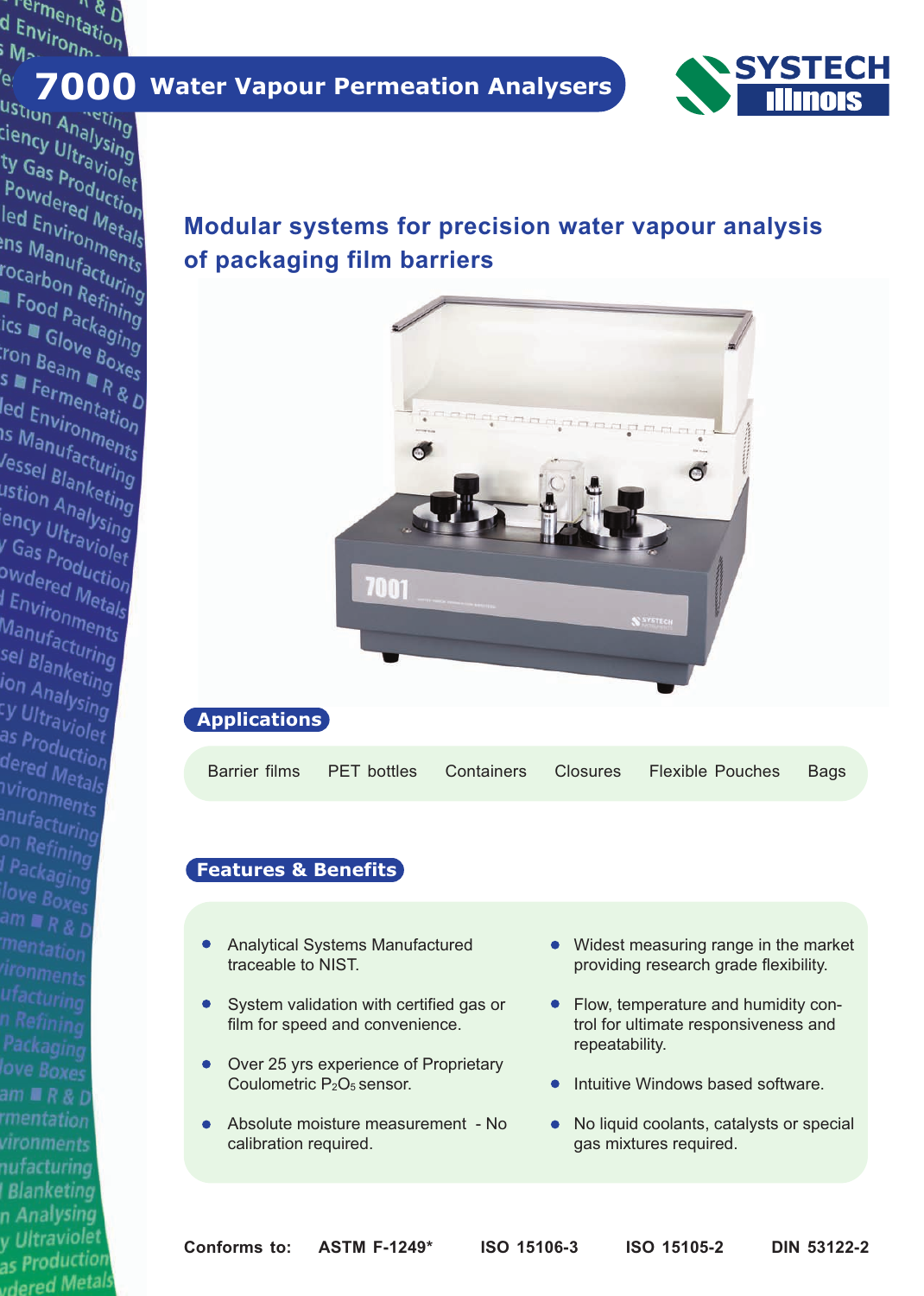Termentation<br>I Environtation<br>Marconman ermentati<br>d Environm<br>i Me

suon Analysing<br>ciency Ultraving<br>ty Gas Production ty Gas Production<br>Ty Gas Production<br>Powdered Uction<br>Led Engined Mo The Gas Production<br>Powdered Metals<br>Led Environmetals<br>Ins Mauronmetals **Fowdered Metals<br>led Environmetals**<br>Ins Manufactures<br>rocarb ed Environmetals<br>Pris Manufacturits<br>Focarbon Refining<br>■ Food r <sup>Refining</sup> "" Manufacturing"<br>"Ocarbon Refining"<br>" Food Pactining"<br>"Ics " C'<sup>ackao</sup>i" **Carbon Refining<br>Example Packaging**<br>ics E Glove Bo.<br>Fon B. Ove Bo. Trood packaging<br>ics a Glove Boxes<br>ion Beam a Boxes **Sall Glove Bing<br>Sall Ferman Res**<br>Sall Fermentation "On Beam **"BOXES"**<br>S **=** Fermentation<br>led Environmentation<br>IS Maxironment - Fermentation<br>led Environmento<br><sup>15</sup> Manufacturis<br>lessol - <sup>facturi</sup>s ca Environmenton<br>Is Manufacturing<br><sup>J</sup>essel Blanker:<br><sup>Jestion Panker:</sup> 

ssel Blanketing<br>ustion Analysing<br>ency Ultralysing<br>K.Gassettaviol astion Analysing<br>|ency Ultraviolet<br><sup>|</sup> Gas Product <sup>o</sup>ncy Ultra<sup>orsing</sup><br>V Gas production<br><sup>O</sup>Wdered Mor as p<sub>roduction</sub><br>Pwdered Metion<br>| Environmetals

l Environments<br>| Environments<br>| Manufacturents ---vironments<br>Manufacturing<br>sel Blankes: sel Blanketing<br>sel Blanketing<br>ion Analysing ion Analysing<br>Ion Analysing<br><sup>C</sup>y Ultravi <sup>-- Analysing</sup><br><sup>-</sup><br>as Prodi as p<sub>roduction</sub><br>as p<sub>roduction</sub><br>dered <sub>Mas</sub> dered Metals<br>Nironn ושים Metal<br>וואומחומות<br>ווער anufacturing<br>on Restaring on Refining<br>I Part l Packaging<br>Iove R<sup>91ng</sup> love Boxes<br>am = am  $R$  & D mentation

n Refining

am ■ R & D

vironments nufacturing **Blanketing** n Analysing y Ultraviolet as Production as<br>udered Metals

# er. **8 7000 Water Vapour Permeation Analysers**<br>Ustion a netting



## **Modular systems for precision water vapour analysis of packaging film barriers**



Barrier films PET bottles Containers Closures Flexible Pouches Bags

## **Features & Benefits**

- Analytical Systems Manufactured  $\bullet$ traceable to NIST.
- System validation with certified gas or film for speed and convenience.
- Over 25 yrs experience of Proprietary  $\bullet$ Coulometric P<sub>2</sub>O<sub>5</sub> sensor.
- Absolute moisture measurement No calibration required.
- Widest measuring range in the market providing research grade flexibility.
- Flow, temperature and humidity control for ultimate responsiveness and repeatability.
- Intuitive Windows based software.
- No liquid coolants, catalysts or special gas mixtures required.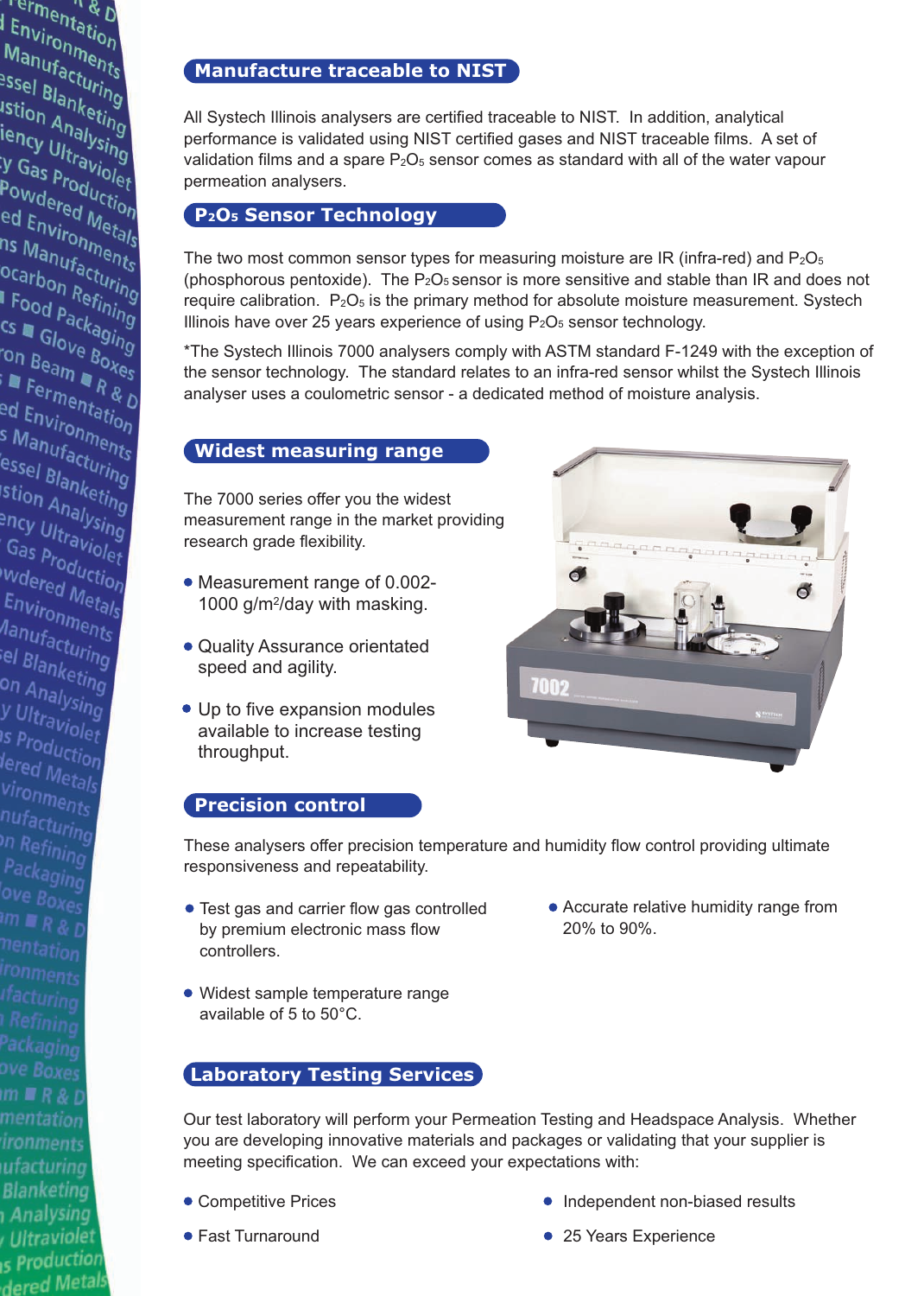## **Manufacture traceable to NIST**

All Systech Illinois analysers are certified traceable to NIST. In addition, analytical performance is validated using NIST certified gases and NIST traceable films. A set of validation films and a spare  $P_2O_5$  sensor comes as standard with all of the water vapour permeation analysers.

#### **P2O5 Sensor Technology**

**Termentation**<br>Environment<br>Maximum *I* ermentation<br>I Environment<br>Manufacturis<br>Passel - Acturis **. Environments**<br>Manufacturing<br><sup>essel</sup> Blanker:<br>Istion wanufacturing<br>Pasel Blanketing<br>Istion Anketing<br>Iency Unalysi --sel Blanketing<br>Istion Analysing<br>iency Ultr<sup>aysing</sup><br>V Gas - <sup>tra</sup>Vising suon Amalysing<br>iency Ultraving<br>Y Gas Proviolet<br>Powds <sup>roduct:</sup> They Ultraviolet<br>Powdered Uction<br>Powdered Uction<br>ed Engles Morn **Powdered Metals**<br>Powdered Metion<br>ed Environmetals<br>ns Marronmetals . Owdered Metion<br>ed Environmetals<br><sup>ns</sup> Manufacture<br>ocarb -u Environmetals<br>ns Manufacturis<br>ocarbon Refuring<br>| Food - <sup>Refini</sup>-9 " Wanufacturing"<br>Ocarbon Refining<br>" Food Packani<br>Cs " Cl<sup>ackani</sup> **Carbon Refining<br>I Food Packaging<br>Cs La Glove Boy<br>On Rou<sup>ve Boy</sup> CS & Glove Boxes**<br>CS & Glove Boxes<br>On Beam Boxes on Beam<br>Ton Beam<br>Fermentati<br>And Fermentati on Beam Doxes<br>■ Fermentation<br>ed Environment<br>s Martionment a Fermentation<br>ed Environments<br>s Manufacturis<br>essol - <sup>facturi</sup>s -a Environments<br>s Manufacturing<br>essel Blanket:<br>istion anket: *anufacturints*<br>essel Blanketing<br>stion Analys:<br>Phouse <sup>nalys:</sup> ssel Blanketing<br>Stion Analysing<br><sup>Shey</sup> Ultraviol an Analysing<br>Phcy Ultraviolet<br>Gas Producet Gas p<sub>roduction</sub><br>Gas p<sub>roduction</sub><br>"Wdered Mo:

wdered Metals<br>Environmetals

Environments<br>Environments<br><sup>Manufact</sup> any Ironments<br>Manufacturing<br>el Blankes: el Blanketing<br>el Blanketing<br>on Analyst<sup>.ng</sup> on Analketing<br>on Analysing<br>y Ultraw

y Ultraviolet<br><sup>Is Produ</sub></sup> s Production<br>Is Production<br>lered M lered Metals<br>Vironm vironments<br>nufact nufacturing<br><sup>In Rose</sub></sup> n Refining<br>Park Packaging<br>love n ove Boxes<br>im = C  $\lim$   $\mathbb{R}$   $R$  &  $D$ 

 $m \equiv R \& D$ mentation ironments ufacturing **Blanketing Analysing** Ultraviolet s Production dered Metal The two most common sensor types for measuring moisture are IR (infra-red) and  $P_2O_5$ (phosphorous pentoxide). The  $P_2O_5$  sensor is more sensitive and stable than IR and does not require calibration.  $P_2O_5$  is the primary method for absolute moisture measurement. Systech Illinois have over 25 years experience of using  $P_2O_5$  sensor technology.

\*The Systech Illinois 7000 analysers comply with ASTM standard F-1249 with the exception of the sensor technology. The standard relates to an infra-red sensor whilst the Systech Illinois analyser uses a coulometric sensor - a dedicated method of moisture analysis.

#### **Widest measuring range**

The 7000 series offer you the widest measurement range in the market providing research grade flexibility.

- Measurement range of 0.002- 1000 g/m2/day with masking.
- Quality Assurance orientated speed and agility.
- Up to five expansion modules available to increase testing throughput.



#### **Precision control**

These analysers offer precision temperature and humidity flow control providing ultimate responsiveness and repeatability.

- Test gas and carrier flow gas controlled by premium electronic mass flow controllers.
- Widest sample temperature range available of 5 to 50°C.

#### **Laboratory Testing Services**

Accurate relative humidity range from 20% to 90%.

- Our test laboratory will perform your Permeation Testing and Headspace Analysis. Whether you are developing innovative materials and packages or validating that your supplier is meeting specification. We can exceed your expectations with:
- Competitive Prices
- Fast Turnaround
- Independent non-biased results
- 25 Years Experience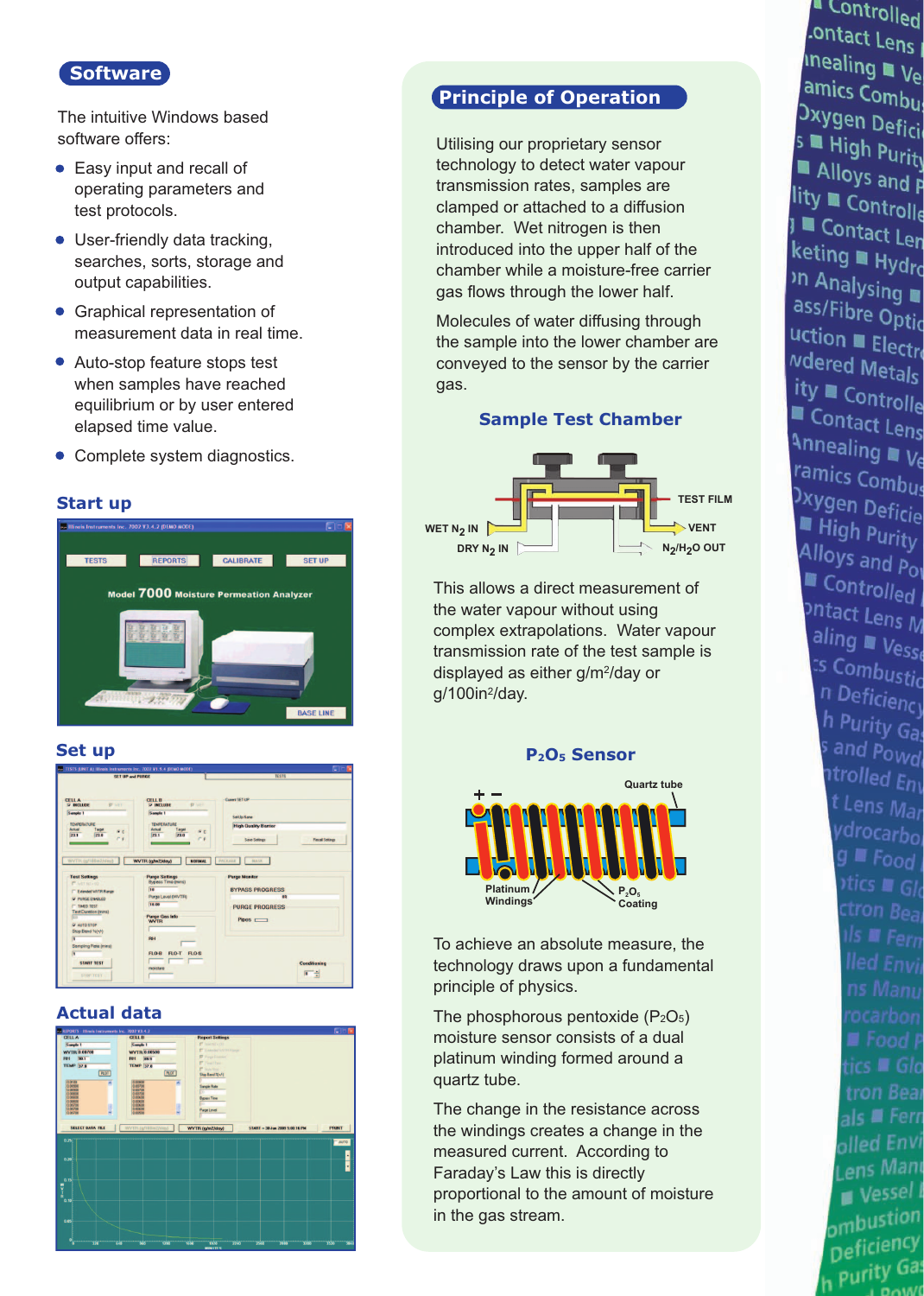### **Software**

The intuitive Windows based software offers:

- Easy input and recall of operating parameters and test protocols.
- User-friendly data tracking, searches, sorts, storage and output capabilities.
- **Graphical representation of** measurement data in real time.
- Auto-stop feature stops test when samples have reached equilibrium or by user entered elapsed time value.
- Complete system diagnostics.

#### **Start up**



#### **Set up**



#### **Actual data**



## **Principle of Operation**

Utilising our proprietary sensor technology to detect water vapour transmission rates, samples are clamped or attached to a diffusion chamber. Wet nitrogen is then introduced into the upper half of the chamber while a moisture-free carrier gas flows through the lower half.

Molecules of water diffusing through the sample into the lower chamber are conveyed to the sensor by the carrier gas.

#### **Sample Test Chamber**



This allows a direct measurement of the water vapour without using complex extrapolations. Water vapour transmission rate of the test sample is displayed as either g/m2/day or g/100in2/day.

#### **P2O5 Sensor**



To achieve an absolute measure, the technology draws upon a fundamental principle of physics.

The phosphorous pentoxide  $(P_2O_5)$ moisture sensor consists of a dual platinum winding formed around a quartz tube.

The change in the resistance across the windings creates a change in the measured current. According to Faraday's Law this is directly proportional to the amount of moisture in the gas stream.

" Controlled ontact Lens  $\frac{1}{2}$ <br>  $\frac{1}{2}$  Thealing  $\blacksquare$  Vertex vertex in the vertex of the vertex in the vertex in the vertex in the vertex in the vertex in the vertex in the vertex in the vertex in the vertex in the vertex in the vertex in amics Combus **Dxygen Defici S** High Purity Alloys and P lity a Controlle J Contact Len keting Hydro n Analysing ass/Fibre Optic uction Electro Mered Metals ity ■ Controlle Contact Lens Annealing We ramics Combus **Dxygen Deficie** High Purity Alloys and Por **Example 1**<br>Controlled ontact Lens M aling Vesse  $\frac{25}{5}$  Combustion n Deficiency h Purity Gas s and Powd ntrolled Env t Lens Mar ydrocarbol  $g \equiv$  Food  $v$ tics  $\blacksquare$  Glo ctron Bear ■ Food P tics ■ Glo tron Bear als ■ Fern olled Envi Lens Mani  $\blacksquare$  Vessel I ombustion Deficiency h Purity Gas  $OM($